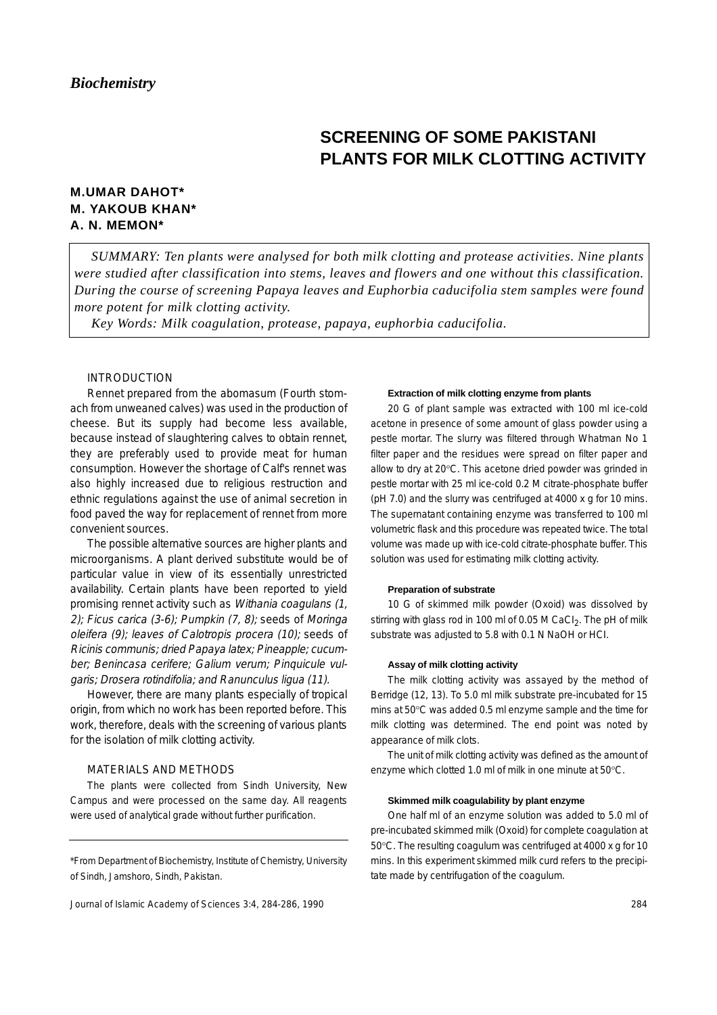# **SCREENING OF SOME PAKISTANI PLANTS FOR MILK CLOTTING ACTIVITY**

## **M.UMAR DAHOT\* M. YAKOUB KHAN\* A. N. MEMON\***

*SUMMARY: Ten plants were analysed for both milk clotting and protease activities. Nine plants were studied after classification into stems, leaves and flowers and one without this classification. During the course of screening Papaya leaves and Euphorbia caducifolia stem samples were found more potent for milk clotting activity.* 

*Key Words: Milk coagulation, protease, papaya, euphorbia caducifolia.*

## INTRODUCTION

Rennet prepared from the abomasum (Fourth stomach from unweaned calves) was used in the production of cheese. But its supply had become less available, because instead of slaughtering calves to obtain rennet, they are preferably used to provide meat for human consumption. However the shortage of Calf's rennet was also highly increased due to religious restruction and ethnic regulations against the use of animal secretion in food paved the way for replacement of rennet from more convenient sources.

The possible alternative sources are higher plants and microorganisms. A plant derived substitute would be of particular value in view of its essentially unrestricted availability. Certain plants have been reported to yield promising rennet activity such as Withania coagulans (1, 2); Ficus carica (3-6); Pumpkin  $(7, 8)$ ; seeds of Moringa oleifera (9); leaves of Calotropis procera (10); seeds of Ricinis communis; dried Papaya latex; Pineapple; cucumber; Benincasa cerifere; Galium verum; Pinquicule vulgaris; Drosera rotindifolia; and Ranunculus ligua (11).

However, there are many plants especially of tropical origin, from which no work has been reported before. This work, therefore, deals with the screening of various plants for the isolation of milk clotting activity.

## MATERIALS AND METHODS

The plants were collected from Sindh University, New Campus and were processed on the same day. All reagents were used of analytical grade without further purification.

Journal of Islamic Academy of Sciences 3:4, 284-286, 1990

#### **Extraction of milk clotting enzyme from plants**

20 G of plant sample was extracted with 100 ml ice-cold acetone in presence of some amount of glass powder using a pestle mortar. The slurry was filtered through Whatman No 1 filter paper and the residues were spread on filter paper and allow to dry at 20°C. This acetone dried powder was grinded in pestle mortar with 25 ml ice-cold 0.2 M citrate-phosphate buffer (pH 7.0) and the slurry was centrifuged at 4000 x g for 10 mins. The supernatant containing enzyme was transferred to 100 ml volumetric flask and this procedure was repeated twice. The total volume was made up with ice-cold citrate-phosphate buffer. This solution was used for estimating milk clotting activity.

## **Preparation of substrate**

10 G of skimmed milk powder (Oxoid) was dissolved by stirring with glass rod in 100 ml of 0.05 M CaCl<sub>2</sub>. The pH of milk substrate was adjusted to 5.8 with 0.1 N NaOH or HCI.

#### **Assay of milk clotting activity**

The milk clotting activity was assayed by the method of Berridge (12, 13). To 5.0 ml milk substrate pre-incubated for 15 mins at 50°C was added 0.5 ml enzyme sample and the time for milk clotting was determined. The end point was noted by appearance of milk clots.

The unit of milk clotting activity was defined as the amount of enzyme which clotted 1.0 ml of milk in one minute at 50°C.

#### **Skimmed milk coagulability by plant enzyme**

One half ml of an enzyme solution was added to 5.0 ml of pre-incubated skimmed milk (Oxoid) for complete coagulation at 50°C. The resulting coagulum was centrifuged at 4000 x g for 10 mins. In this experiment skimmed milk curd refers to the precipitate made by centrifugation of the coagulum.

<sup>\*</sup>From Department of Biochemistry, Institute of Chemistry, University of Sindh, Jamshoro, Sindh, Pakistan.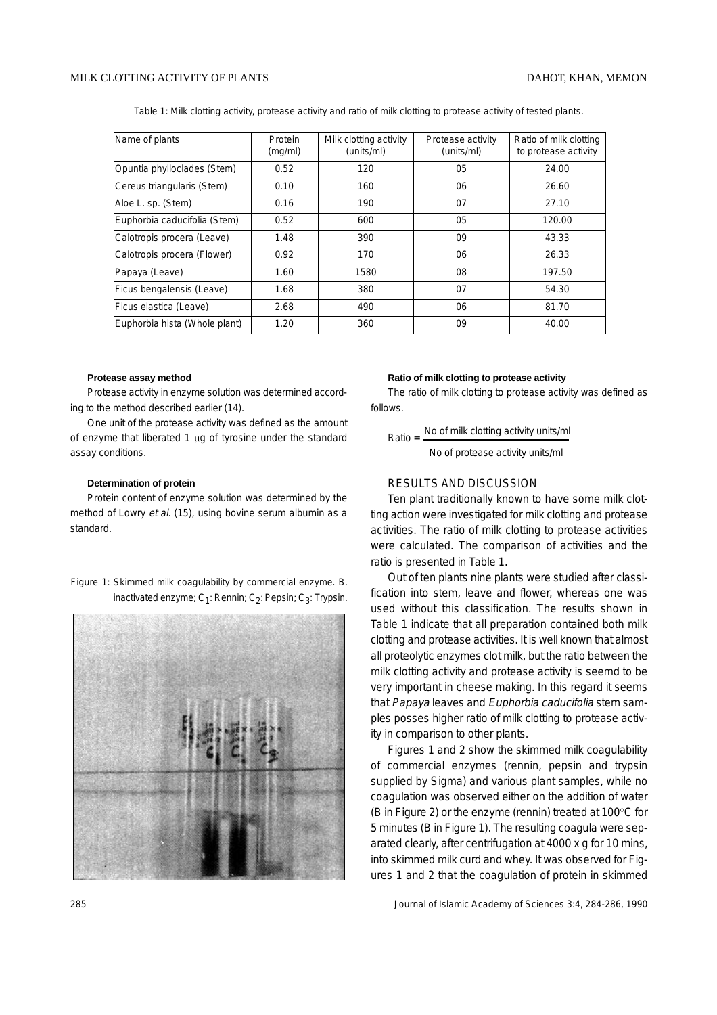Table 1: Milk clotting activity, protease activity and ratio of milk clotting to protease activity of tested plants.

| Name of plants                | Protein<br>(mq/ml) | Milk clotting activity<br>(units/ml) | Protease activity<br>(units/ml) | Ratio of milk clotting<br>to protease activity |
|-------------------------------|--------------------|--------------------------------------|---------------------------------|------------------------------------------------|
| Opuntia phylloclades (Stem)   | 0.52               | 120                                  | 05                              | 24.00                                          |
| Cereus triangularis (Stem)    | 0.10               | 160                                  | 06                              | 26.60                                          |
| Aloe L. sp. (Stem)            | 0.16               | 190                                  | 07                              | 27.10                                          |
| Euphorbia caducifolia (Stem)  | 0.52               | 600                                  | 05                              | 120.00                                         |
| Calotropis procera (Leave)    | 1.48               | 390                                  | 09                              | 43.33                                          |
| Calotropis procera (Flower)   | 0.92               | 170                                  | 06                              | 26.33                                          |
| Papaya (Leave)                | 1.60               | 1580                                 | 08                              | 197.50                                         |
| Ficus bengalensis (Leave)     | 1.68               | 380                                  | 07                              | 54.30                                          |
| Ficus elastica (Leave)        | 2.68               | 490                                  | 06                              | 81.70                                          |
| Euphorbia hista (Whole plant) | 1.20               | 360                                  | 09                              | 40.00                                          |

#### **Protease assay method**

Protease activity in enzyme solution was determined according to the method described earlier (14).

One unit of the protease activity was defined as the amount of enzyme that liberated 1 µg of tyrosine under the standard assay conditions.

#### **Determination of protein**

Protein content of enzyme solution was determined by the method of Lowry et al. (15), using bovine serum albumin as a standard.

## Figure 1: Skimmed milk coagulability by commercial enzyme. B. inactivated enzyme;  $C_1$ : Rennin;  $C_2$ : Pepsin;  $C_3$ : Trypsin.



#### **Ratio of milk clotting to protease activity**

The ratio of milk clotting to protease activity was defined as follows.

Ratio  $=$  No of milk clotting activity units/ml No of protease activity units/ml

## RESULTS AND DISCUSSION

Ten plant traditionally known to have some milk clotting action were investigated for milk clotting and protease activities. The ratio of milk clotting to protease activities were calculated. The comparison of activities and the ratio is presented in Table 1.

Out of ten plants nine plants were studied after classification into stem, leave and flower, whereas one was used without this classification. The results shown in Table 1 indicate that all preparation contained both milk clotting and protease activities. It is well known that almost all proteolytic enzymes clot milk, but the ratio between the milk clotting activity and protease activity is seemd to be very important in cheese making. In this regard it seems that Papaya leaves and Euphorbia caducifolia stem samples posses higher ratio of milk clotting to protease activity in comparison to other plants.

Figures 1 and 2 show the skimmed milk coagulability of commercial enzymes (rennin, pepsin and trypsin supplied by Sigma) and various plant samples, while no coagulation was observed either on the addition of water (B in Figure 2) or the enzyme (rennin) treated at 100°C for 5 minutes (B in Figure 1). The resulting coagula were separated clearly, after centrifugation at 4000 x g for 10 mins, into skimmed milk curd and whey. It was observed for Figures 1 and 2 that the coagulation of protein in skimmed

285 Journal of Islamic Academy of Sciences 3:4, 284-286, 1990